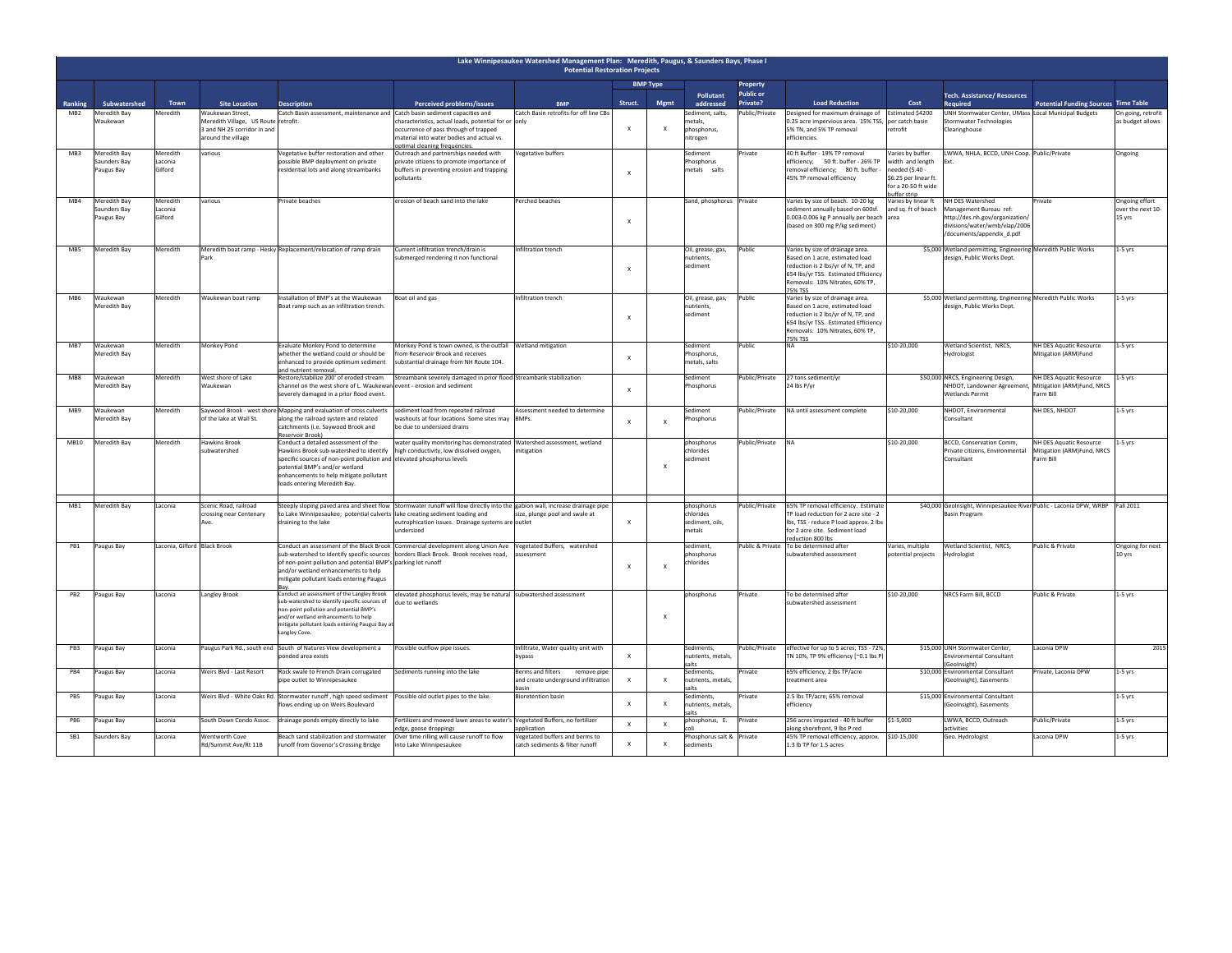| Lake Winnipesaukee Watershed Management Plan: Meredith, Paugus, & Saunders Bays, Phase I<br><b>Potential Restoration Projects</b> |                                            |                                |                                                                                                     |                                                                                                                                                                                                                                                                    |                                                                                                                                                                                                     |                                                                                                      |                 |                           |                                                        |                                |                                                                                                                                                                                                  |                                                                                                                       |                                                                                                                                             |                                                                    |                                               |
|-----------------------------------------------------------------------------------------------------------------------------------|--------------------------------------------|--------------------------------|-----------------------------------------------------------------------------------------------------|--------------------------------------------------------------------------------------------------------------------------------------------------------------------------------------------------------------------------------------------------------------------|-----------------------------------------------------------------------------------------------------------------------------------------------------------------------------------------------------|------------------------------------------------------------------------------------------------------|-----------------|---------------------------|--------------------------------------------------------|--------------------------------|--------------------------------------------------------------------------------------------------------------------------------------------------------------------------------------------------|-----------------------------------------------------------------------------------------------------------------------|---------------------------------------------------------------------------------------------------------------------------------------------|--------------------------------------------------------------------|-----------------------------------------------|
|                                                                                                                                   |                                            |                                |                                                                                                     |                                                                                                                                                                                                                                                                    |                                                                                                                                                                                                     |                                                                                                      | <b>BMP Type</b> |                           |                                                        | Property                       |                                                                                                                                                                                                  |                                                                                                                       |                                                                                                                                             |                                                                    |                                               |
| Ranking                                                                                                                           | Subwatershed                               | Town                           | <b>Site Location</b>                                                                                | <b>Description</b>                                                                                                                                                                                                                                                 | Perceived problems/issues                                                                                                                                                                           | <b>BMP</b>                                                                                           | Struct.         | Mgmt                      | Pollutant<br>addressed                                 | <b>Public or</b><br>Private?   | <b>Load Reduction</b>                                                                                                                                                                            | Cost                                                                                                                  | Tech. Assistance/ Resources<br>Required                                                                                                     | <b>Potential Funding Sources</b>                                   | <b>Time Table</b>                             |
| MB <sub>2</sub>                                                                                                                   | Meredith Bay<br>Waukewan                   | leredith                       | Waukewan Street,<br>Meredith Village, US Route<br>3 and NH 25 corridor in and<br>around the village | Catch Basin assessment, maintenance and Catch basin sediment capacities and<br>retrofit.                                                                                                                                                                           | characteristics, actual loads, potential for or only<br>occurrence of pass through of trapped<br>material into water bodies and actual vs.<br>ptimal cleaning frequencies.                          | Catch Basin retrofits for off line CBs                                                               |                 | $\boldsymbol{\mathsf{x}}$ | sediment, salts,<br>netals.<br>phosphorus,<br>nitrogen | Public/Private                 | Designed for maximum drainage of<br>0.25 acre impervious area. 15% TSS, per catch basin<br>5% TN, and 5% TP removal<br>efficiencies.                                                             | Estimated \$4200<br>retrofit                                                                                          | UNH Stormwater Center, UMass Local Municipal Budgets<br>tormwater Technologies<br>Clearinghouse                                             |                                                                    | On going, retrofit<br>is budget allows        |
| MB3                                                                                                                               | Meredith Bay<br>Saunders Bay<br>Paugus Bay | Meredith<br>Laconia<br>Gilford | various                                                                                             | Vegetative buffer restoration and other<br>possible BMP deployment on private<br>residential lots and along streambanks                                                                                                                                            | Outreach and partnerships needed with<br>private citizens to promote importance of<br>buffers in preventing erosion and trapping<br>pollutants                                                      | Vegetative buffers                                                                                   |                 |                           | Sediment<br>Phosphorus<br>metals salts                 | Private                        | 40 ft Buffer - 19% TP removal<br>efficiency; 50 ft. buffer - 26% TP<br>removal efficiency; 80 ft. buffer -<br>45% TP removal efficiency                                                          | Varies by buffer<br>vidth and length<br>eeded (\$.40 -<br>\$6.25 per linear ft.<br>for a 20-50 ft wide<br>uffer strip | LWWA, NHLA, BCCD, UNH Coop. Public/Private                                                                                                  |                                                                    | Ongoing                                       |
| MR4                                                                                                                               | Meredith Bay<br>Saunders Bay<br>Paugus Bay | Meredith<br>Laconia<br>Gilford | various                                                                                             | Private beaches                                                                                                                                                                                                                                                    | erosion of beach sand into the lake                                                                                                                                                                 | Perched beaches                                                                                      |                 |                           | Sand, phosphorus Private                               |                                | Varies by size of beach. 10-20 kg<br>sediment annually based on 600sf.<br>0.003-0.006 kg P annually per beach area<br>(based on 300 mg P/kg sediment)                                            | Varies by linear ft<br>and sq. ft of beach                                                                            | NH DES Watershed<br>Management Bureau ref:<br>http://des.nh.gov/organization/<br>divisions/water/wmb/vlap/2006<br>/documents/appendix_d.pdf | Private                                                            | Ongoing effort<br>over the next 10-<br>15 yrs |
| MB5                                                                                                                               | Meredith Bay                               | Meredith                       |                                                                                                     | Meredith boat ramp - Hesky Replacement/relocation of ramp drain                                                                                                                                                                                                    | Current infiltration trench/drain is<br>ubmerged rendering it non functional                                                                                                                        | Infiltration trench                                                                                  | $\mathsf{x}$    |                           | Oil, grease, gas.<br>nutrients,<br>sediment            | Public                         | Varies by size of drainage area.<br>Based on 1 acre, estimated load<br>reduction is 2 lbs/yr of N, TP, and<br>654 lbs/yr TSS. Estimated Efficiency<br>Removals: 10% Nitrates, 60% TP,<br>75% TSS |                                                                                                                       | \$5,000 Wetland permitting, Engineering Meredith Public Works<br>lesign, Public Works Dept.                                                 |                                                                    | $1-5$ yrs                                     |
| M <sub>R6</sub>                                                                                                                   | Waukewan<br>Meredith Bay                   | Meredith                       | Waukewan boat ramp                                                                                  | nstallation of BMP's at the Waukewan<br>soat ramp such as an infiltration trench.                                                                                                                                                                                  | Boat oil and gas                                                                                                                                                                                    | Infiltration trench                                                                                  | $\mathsf{x}$    |                           | Oil, grease, gas,<br>nutrients.<br>sediment            | Public                         | Varies by size of drainage area.<br>Based on 1 acre, estimated load<br>reduction is 2 lbs/yr of N, TP, and<br>654 lbs/yr TSS. Estimated Efficiency<br>Removals: 10% Nitrates, 60% TP,<br>75% TSS |                                                                                                                       | \$5,000 Wetland permitting, Engineering Meredith Public Works<br>design, Public Works Dept.                                                 |                                                                    | $1-5$ vrs                                     |
| MB7                                                                                                                               | Waukewan<br>Meredith Bay                   | Meredith                       | Monkey Pond                                                                                         | Evaluate Monkey Pond to determine<br>vhether the wetland could or should be<br>nhanced to provide optimum sediment<br>ind nutrient removal.                                                                                                                        | Monkey Pond is town owned, is the outfall Wetland mitigation<br>from Reservoir Brook and receives<br>substantial drainage from NH Route 104.                                                        |                                                                                                      | $\mathbf{x}$    |                           | Sediment<br>Phosphorus,<br>metals, salts               | Public                         | <b>NA</b>                                                                                                                                                                                        | \$10-20,000                                                                                                           | Wetland Scientist, NRCS,<br>Hydrologist                                                                                                     | NH DES Aquatic Resource<br>Mitigation (ARM)Fund                    | $1-5$ yrs                                     |
| MB8                                                                                                                               | Waukewan<br>Meredith Bay                   | Meredith                       | West shore of Lake<br>Waukewan                                                                      | testore/stabilize 200' of eroded stream<br>hannel on the west shore of L. Waukewan event - erosion and sediment<br>everely damaged in a prior flood event.                                                                                                         | Streambank severely damaged in prior flood Streambank stabilization                                                                                                                                 |                                                                                                      | $\mathbf{x}$    |                           | Sediment<br>Phosphorus                                 | Public/Private                 | 27 tons sediment/yr<br>24 lbs P/yr                                                                                                                                                               |                                                                                                                       | \$50,000 NRCS, Engineering Design,<br>NHDOT, Landowner Agreement<br>Wetlands Permit                                                         | NH DES Aquatic Resource<br>Mitigation (ARM)Fund, NRCS<br>Farm Bill | $1-5$ yrs                                     |
| MB9                                                                                                                               | Waukewan<br>Meredith Bay                   | Meredith                       | of the lake at Wall St.                                                                             | Saywood Brook - west shore Mapping and evaluation of cross culverts<br>long the railroad system and related<br>catchments (i.e. Saywood Brook and<br>Reservoir Brook)                                                                                              | sediment load from repeated railroad<br>vashouts at four locations Some sites may BMPs.<br>be due to undersized drains                                                                              | Assessment needed to determine                                                                       | $\mathbf{x}$    | $\boldsymbol{\mathsf{x}}$ | Sediment<br>hosphorus                                  | Public/Private                 | NA until assessment complete                                                                                                                                                                     | \$10-20,000                                                                                                           | NHDOT, Environmental<br>Consultant                                                                                                          | NH DES, NHDOT                                                      | $1-5$ yrs                                     |
| <b>MB10</b>                                                                                                                       | Meredith Bay                               | Meredith                       | <b>Hawkins Brook</b><br>subwatershed                                                                | onduct a detailed assessment of the<br>lawkins Brook sub-watershed to identify<br>specific sources of non-point pollution and elevated phosphorus levels<br>otential BMP's and/or wetland<br>nhancements to help mitigate pollutant<br>pads entering Meredith Bay. | water quality monitoring has demonstrated Watershed assessment, wetland<br>high conductivity, low dissolved oxygen,                                                                                 | nitigation                                                                                           |                 | $\mathbf{x}$              | phosphorus<br>chlorides<br>sediment                    | Public/Private                 |                                                                                                                                                                                                  | \$10-20,000                                                                                                           | <b>BCCD, Conservation Comm,</b><br>Private citizens, Environmental<br>Consultant                                                            | NH DES Aquatic Resource<br>Mitigation (ARM)Fund, NRCS<br>Farm Bill | 1-5 yrs                                       |
| MB1                                                                                                                               | <b>Meredith Bay</b>                        | Laconia                        | Scenic Road, railroad<br>crossing near Centenary                                                    | to Lake Winnipesaukee; potential culverts lake creating sediment loading and<br>draining to the lake                                                                                                                                                               | Steeply sloping paved area and sheet flow Stormwater runoff will flow directly into the gabion wall, increase drainage pipe<br>eutrophication issues. Drainage systems are outlet<br>dersized       | size, plunge pool and swale at                                                                       |                 |                           | phosphorus<br>chlorides<br>sediment, oils<br>metals    | Public/Private                 | 65% TP removal efficiency. Estimate<br>TP load reduction for 2 acre site - 2<br>lbs, TSS - reduce P load approx. 2 lbs<br>for 2 acre site. Sediment load<br>reduction 800 lbs                    |                                                                                                                       | \$40,000 GeoInsight, Winnipesaukee River Public - Laconia DPW, WRBP Fall 2011<br>Basin Program                                              |                                                                    |                                               |
| PR1                                                                                                                               | Paugus Bay                                 | Laconia, Gilford Black Brook   |                                                                                                     | of non-point pollution and potential BMP's parking lot runoff<br>and/or wetland enhancements to help<br>nitigate pollutant loads entering Paugus                                                                                                                   | Conduct an assessment of the Black Brook Commercial development along Union Ave Vegetated Buffers, watershed<br>ub-watershed to identify specific sources borders Black Brook. Brook receives road, | ssessment                                                                                            | $\mathbf{x}$    | $\mathbf{x}$              | sediment.<br>hosphorus<br>chlorides                    |                                | Public & Private To be determined after<br>ubwatershed assessment                                                                                                                                | Varies, multiple<br>otential projects                                                                                 | Wetland Scientist, NRCS<br>Hydrologist                                                                                                      | Public & Private                                                   | Ongoing for next<br>10 yrs                    |
| PB <sub>2</sub>                                                                                                                   | Paugus Bay                                 | Laconia                        | Langley Brook                                                                                       | onduct an assessment of the Langley Brook<br>ub-watershed to identify specific sources of<br>on-point pollution and potential BMP's<br>nd/or wetland enhancements to help<br>nitigate pollutant loads entering Paugus Bay at<br>angley Cove.                       | elevated phosphorus levels, may be natural subwatershed assessment<br>due to wetlands                                                                                                               |                                                                                                      |                 | $\mathbf{x}$              | phosphorus                                             | rivate                         | To be determined after<br>subwatershed assessment                                                                                                                                                | \$10-20,000                                                                                                           | NRCS Farm Bill, BCCD                                                                                                                        | Public & Private                                                   | $1-5$ yrs                                     |
| PB3                                                                                                                               | Paugus Bay                                 | Laconia                        |                                                                                                     | Paugus Park Rd., south end South of Natures View development a<br>onded area exists                                                                                                                                                                                | Possible outflow pipe issues.                                                                                                                                                                       | Infiltrate, Water quality unit with<br>bypass                                                        |                 |                           | Sediments,<br>nutrients, metals<br>salts               | Public/Private                 | effective for up to 5 acres; TSS - 72%,<br>TN 10%, TP 9% efficiency [~0.1 lbs P)                                                                                                                 |                                                                                                                       | \$15,000 UNH Stormwater Center,<br>Environmental Consultant<br>GeoInsight)                                                                  | Laconia DPW                                                        | 2015                                          |
| PB4<br>PB5                                                                                                                        | augus Bay<br>Paugus Bay                    | Laconia<br>Laconia             | Weirs Blvd - Last Resort                                                                            | Rock swale to French Drain corrugated<br>ipe outlet to Winnipesaukee<br>Weirs Blvd - White Oaks Rd. Stormwater runoff, high speed sediment                                                                                                                         | Sediments running into the lake<br>Possible old outlet pipes to the lake.                                                                                                                           | Berms and filters<br>remove pipe<br>and create underground infiltration<br><b>Bioretention basin</b> | $\mathbf{x}$    | $\boldsymbol{\mathsf{x}}$ | Sediments,<br>nutrients, metals<br>salts<br>Sediments. | <b>rivate</b><br><b>rivate</b> | 65% efficiency, 2 lbs TP/acre<br>treatment area<br>2.5 lbs TP/acre; 65% removal                                                                                                                  |                                                                                                                       | \$10,000 Environmental Consultant<br>GeoInsight), Easements<br>\$15,000 Environmental Consultant                                            | rivate, Laconia DPW                                                | $1-5$ yrs<br>$1-5$ yrs                        |
|                                                                                                                                   |                                            |                                |                                                                                                     | lows ending up on Weirs Boulevard                                                                                                                                                                                                                                  |                                                                                                                                                                                                     |                                                                                                      |                 | $\boldsymbol{\mathsf{x}}$ | nutrients, metals<br>salts                             |                                | efficiency                                                                                                                                                                                       |                                                                                                                       | GeoInsight), Easements                                                                                                                      |                                                                    |                                               |
| PR6                                                                                                                               | Paugus Bay                                 | Laconia                        | South Down Condo Assoc.                                                                             | drainage ponds empty directly to lake                                                                                                                                                                                                                              | Fertilizers and mowed lawn areas to water's Vegetated Buffers, no fertilizer<br>dge, goose droppings                                                                                                | application                                                                                          | $\mathsf{x}$    | $\mathsf{x}$              | phosphorus. E.<br>ilo <sup>-</sup>                     | Private                        | 256 acres imnacted - 40 ft buffer<br>along shorefront, 9 lbs P red                                                                                                                               | \$1-5,000                                                                                                             | LWWA, BCCD, Outreach<br>ctivities                                                                                                           | Public/Private                                                     | $1-5$ yrs                                     |
| SB1                                                                                                                               | Saunders Bay                               | Laconia                        | Wentworth Cove<br>Rd/Summit Ave/Rt 11B                                                              | Beach sand stabilization and stormwater<br>runoff from Govenor's Crossing Bridge                                                                                                                                                                                   | Over time rilling will cause runoff to flow<br>into Lake Winnipesaukee                                                                                                                              | Vegetated buffers and berms to<br>catch sediments & filter runoff                                    | $\mathbf{x}$    | $\mathbf{x}$              | Phosphorus salt & Private<br>sediments                 |                                | 45% TP removal efficiency, approx. \$10-15,000<br>1.3 lb TP for 1.5 acres                                                                                                                        |                                                                                                                       | Geo. Hydrologist                                                                                                                            | Laconia DPW                                                        | $1-5$ vrs                                     |